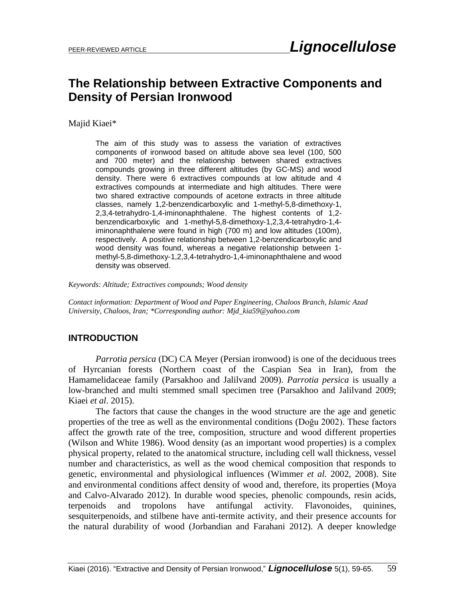# **The Relationship between Extractive Components and Density of Persian Ironwood**

Majid Kiaei\*

The aim of this study was to assess the variation of extractives components of ironwood based on altitude above sea level (100, 500 and 700 meter) and the relationship between shared extractives compounds growing in three different altitudes (by GC-MS) and wood density. There were 6 extractives compounds at low altitude and 4 extractives compounds at intermediate and high altitudes. There were two shared extractive compounds of acetone extracts in three altitude classes, namely 1,2-benzendicarboxylic and 1-methyl-5,8-dimethoxy-1, 2,3,4-tetrahydro-1,4-iminonaphthalene. The highest contents of 1,2 benzendicarboxylic and 1-methyl-5,8-dimethoxy-1,2,3,4-tetrahydro-1,4 iminonaphthalene were found in high (700 m) and low altitudes (100m), respectively. A positive relationship between 1,2-benzendicarboxylic and wood density was found, whereas a negative relationship between 1 methyl-5,8-dimethoxy-1,2,3,4-tetrahydro-1,4-iminonaphthalene and wood density was observed.

*Keywords: Altitude; Extractives compounds; Wood density*

*Contact information: Department of Wood and Paper Engineering, Chaloos Branch, Islamic Azad University, Chaloos, Iran; \*Corresponding author[: Mjd\\_kia59@yahoo.com](mailto:Mjd_kia59@yahoo.com)*

# **INTRODUCTION**

*Parrotia persica* (DC) CA Meyer (Persian ironwood) is one of the deciduous trees of Hyrcanian forests (Northern coast of the Caspian Sea in Iran), from the Hamamelidaceae family (Parsakhoo and Jalilvand 2009). *Parrotia persica* is usually a low-branched and multi stemmed small specimen tree (Parsakhoo and Jalilvand 2009; Kiaei *et al*. 2015).

The factors that cause the changes in the wood structure are the age and genetic properties of the tree as well as the environmental conditions (Doğu 2002). These factors affect the growth rate of the tree, composition, structure and wood different properties (Wilson and White 1986). Wood density (as an important wood properties) is a complex physical property, related to the anatomical structure, including cell wall thickness, vessel number and characteristics, as well as the wood chemical composition that responds to genetic, environmental and physiological influences (Wimmer *et al.* 2002, 2008). Site and environmental conditions affect density of wood and, therefore, its properties (Moya and Calvo-Alvarado 2012). In durable wood species, phenolic compounds, resin acids, terpenoids and tropolons have antifungal activity. Flavonoides, quinines, sesquiterpenoids, and stilbene have anti-termite activity, and their presence accounts for the natural durability of wood (Jorbandian and Farahani 2012). A deeper knowledge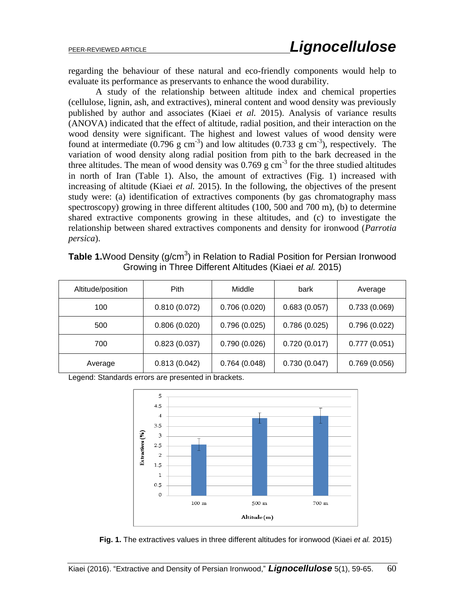regarding the behaviour of these natural and eco-friendly components would help to evaluate its performance as preservants to enhance the wood durability.

A study of the relationship between altitude index and chemical properties (cellulose, lignin, ash, and extractives), mineral content and wood density was previously published by author and associates (Kiaei *et al.* 2015). Analysis of variance results (ANOVA) indicated that the effect of altitude, radial position, and their interaction on the wood density were significant. The highest and lowest values of wood density were found at intermediate  $(0.796 \text{ g cm}^{-3})$  and low altitudes  $(0.733 \text{ g cm}^{-3})$ , respectively. The variation of wood density along radial position from pith to the bark decreased in the three altitudes. The mean of wood density was  $0.769$  g cm<sup>-3</sup> for the three studied altitudes in north of Iran (Table 1). Also, the amount of extractives (Fig. 1) increased with increasing of altitude (Kiaei *et al.* 2015). In the following, the objectives of the present study were: (a) identification of extractives components (by gas chromatography mass spectroscopy) growing in three different altitudes (100, 500 and 700 m), (b) to determine shared extractive components growing in these altitudes, and (c) to investigate the relationship between shared extractives components and density for ironwood (*Parrotia persica*).

| <b>Table 1.</b> Wood Density ( $g/cm3$ ) in Relation to Radial Position for Persian Ironwood |
|----------------------------------------------------------------------------------------------|
| Growing in Three Different Altitudes (Kiaei et al. 2015)                                     |

| Altitude/position | <b>Pith</b>  | Middle       | bark         | Average      |
|-------------------|--------------|--------------|--------------|--------------|
| 100               | 0.810(0.072) | 0.706(0.020) | 0.683(0.057) | 0.733(0.069) |
| 500               | 0.806(0.020) | 0.796(0.025) | 0.786(0.025) | 0.796(0.022) |
| 700               | 0.823(0.037) | 0.790(0.026) | 0.720(0.017) | 0.777(0.051) |
| Average           | 0.813(0.042) | 0.764(0.048) | 0.730(0.047) | 0.769(0.056) |

Legend: Standards errors are presented in brackets.



**Fig. 1.** The extractives values in three different altitudes for ironwood (Kiaei *et al.* 2015)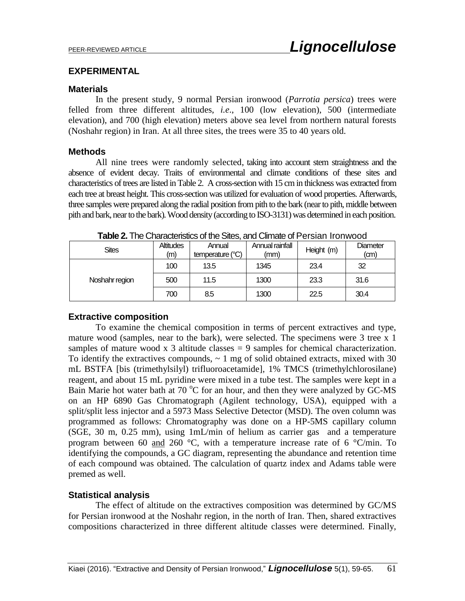### **EXPERIMENTAL**

### **Materials**

In the present study, 9 normal Persian ironwood (*Parrotia persica*) trees were felled from three different altitudes, *i.e*., 100 (low elevation), 500 (intermediate elevation), and 700 (high elevation) meters above sea level from northern natural forests (Noshahr region) in Iran. At all three sites, the trees were 35 to 40 years old.

### **Methods**

All nine trees were randomly selected, taking into account stem straightness and the absence of evident decay. Traits of environmental and climate conditions of these sites and characteristics of trees are listed in Table 2. A cross-section with 15 cm in thickness was extracted from each tree at breast height. This cross-section was utilized for evaluation of wood properties. Afterwards, three samples were prepared along the radial position from pith to the bark (near to pith, middle between pith and bark, near to the bark). Wood density (according to ISO-3131) was determined in each position.

| <b>I QUIC L.</b> THE OFIQUE ISING OF THE OILES, QHU OILHQIG OF F CHOIQH TIOH WOOD. |                         |                            |                         |            |                  |
|------------------------------------------------------------------------------------|-------------------------|----------------------------|-------------------------|------------|------------------|
| <b>Sites</b>                                                                       | <b>Altitudes</b><br>(m) | Annual<br>temperature (°C) | Annual rainfall<br>(mm) | Height (m) | Diameter<br>(cm) |
|                                                                                    | 100                     | 13.5                       | 1345                    | 23.4       | 32               |
| Noshahr region                                                                     | 500                     | 11.5                       | 1300                    | 23.3       | 31.6             |
|                                                                                    | 700                     | 8.5                        | 1300                    | 22.5       | 30.4             |

**Table 2.** The Characteristics of the Sites, and Climate of Persian Ironwood

### **Extractive composition**

To examine the chemical composition in terms of percent extractives and type, mature wood (samples, near to the bark), were selected. The specimens were 3 tree x 1 samples of mature wood  $x$  3 altitude classes  $= 9$  samples for chemical characterization. To identify the extractives compounds,  $\sim 1$  mg of solid obtained extracts, mixed with 30 mL BSTFA [bis (trimethylsilyl) trifluoroacetamide], 1% TMCS (trimethylchlorosilane) reagent, and about 15 mL pyridine were mixed in a tube test. The samples were kept in a Bain Marie hot water bath at 70  $\rm{^{\circ}C}$  for an hour, and then they were analyzed by GC-MS on an HP 6890 Gas Chromatograph (Agilent technology, USA), equipped with a split/split less injector and a 5973 Mass Selective Detector (MSD). The oven column was programmed as follows: Chromatography was done on a HP-5MS capillary column (SGE, 30 m, 0.25 mm), using 1mL/min of helium as carrier gas and a temperature program between 60 and 260  $\degree$ C, with a temperature increase rate of 6  $\degree$ C/min. To identifying the compounds, a GC diagram, representing the abundance and retention time of each compound was obtained. The calculation of quartz index and Adams table were premed as well.

# **Statistical analysis**

The effect of altitude on the extractives composition was determined by GC/MS for Persian ironwood at the Noshahr region, in the north of Iran. Then, shared extractives compositions characterized in three different altitude classes were determined. Finally,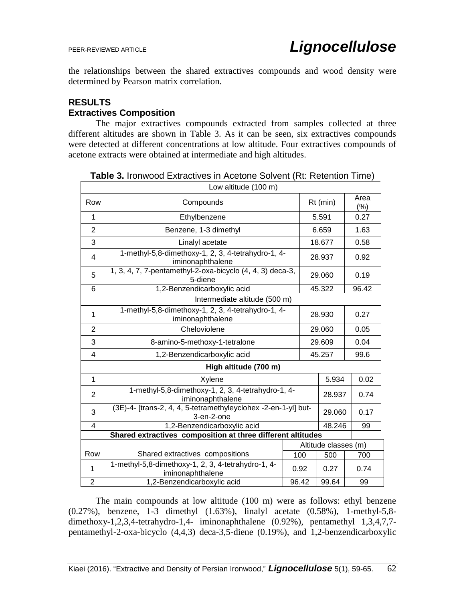the relationships between the shared extractives compounds and wood density were determined by Pearson matrix correlation.

# **RESULTS Extractives Composition**

The major extractives compounds extracted from samples collected at three different altitudes are shown in Table 3. As it can be seen, six extractives compounds were detected at different concentrations at low altitude. Four extractives compounds of acetone extracts were obtained at intermediate and high altitudes.

|                | Low altitude (100 m)                                                             |       |                      |                |  |
|----------------|----------------------------------------------------------------------------------|-------|----------------------|----------------|--|
| Row            | Compounds                                                                        |       | $Rt$ (min)           | Area<br>(%)    |  |
| 1              | Ethylbenzene                                                                     |       | 5.591                | 0.27           |  |
| $\overline{2}$ | Benzene, 1-3 dimethyl                                                            |       | 6.659                | 1.63           |  |
| 3              | Linalyl acetate                                                                  |       | 18.677               | 0.58           |  |
| 4              | 1-methyl-5,8-dimethoxy-1, 2, 3, 4-tetrahydro-1, 4-<br>iminonaphthalene           |       | 28.937               | 0.92           |  |
| 5              | 1, 3, 4, 7, 7-pentamethyl-2-oxa-bicyclo (4, 4, 3) deca-3,<br>5-diene             |       |                      | 0.19           |  |
| 6              | 1,2-Benzendicarboxylic acid                                                      |       |                      | 96.42          |  |
|                | Intermediate altitude (500 m)                                                    |       |                      |                |  |
| 1              | 1-methyl-5,8-dimethoxy-1, 2, 3, 4-tetrahydro-1, 4-<br>28.930<br>iminonaphthalene |       |                      | 0.27           |  |
| $\overline{2}$ | Cheloviolene                                                                     |       | 29.060               | 0.05           |  |
| 3              | 8-amino-5-methoxy-1-tetralone                                                    |       | 29.609               | 0.04           |  |
| 4              | 1,2-Benzendicarboxylic acid                                                      |       | 45.257               | 99.6           |  |
|                | High altitude (700 m)                                                            |       |                      |                |  |
| $\mathbf{1}$   | Xylene                                                                           |       |                      | 5.934<br>0.02  |  |
| $\overline{2}$ | 1-methyl-5,8-dimethoxy-1, 2, 3, 4-tetrahydro-1, 4-<br>iminonaphthalene           |       |                      | 28.937<br>0.74 |  |
| 3              | (3E)-4- [trans-2, 4, 4, 5-tetramethyleyclohex -2-en-1-yl] but-<br>3-en-2-one     |       |                      | 0.17<br>29.060 |  |
| 4              | 1,2-Benzendicarboxylic acid                                                      |       |                      | 48.246<br>99   |  |
|                | Shared extractives composition at three different altitudes                      |       |                      |                |  |
|                |                                                                                  |       | Altitude classes (m) |                |  |
| Row            | Shared extractives compositions                                                  | 100   | 500                  | 700            |  |
| $\mathbf{1}$   | 1-methyl-5,8-dimethoxy-1, 2, 3, 4-tetrahydro-1, 4-<br>iminonaphthalene           | 0.92  | 0.27                 | 0.74           |  |
| $\overline{2}$ | 1,2-Benzendicarboxylic acid                                                      | 96.42 | 99.64                | 99             |  |

**Table 3.** Ironwood Extractives in Acetone Solvent (Rt: Retention Time)

The main compounds at low altitude (100 m) were as follows: ethyl benzene (0.27%), benzene, 1-3 dimethyl (1.63%), linalyl acetate (0.58%), 1-methyl-5,8 dimethoxy-1,2,3,4-tetrahydro-1,4- iminonaphthalene (0.92%), pentamethyl 1,3,4,7,7 pentamethyl-2-oxa-bicyclo (4,4,3) deca-3,5-diene (0.19%), and 1,2-benzendicarboxylic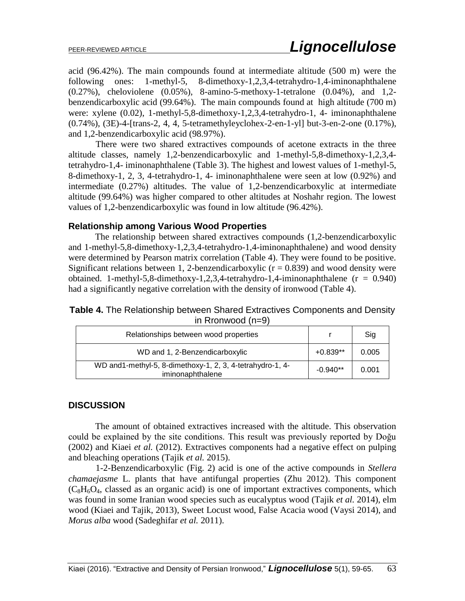acid (96.42%). The main compounds found at intermediate altitude (500 m) were the following ones: 1-methyl-5, 8-dimethoxy-1,2,3,4-tetrahydro-1,4-iminonaphthalene (0.27%), cheloviolene (0.05%), 8-amino-5-methoxy-1-tetralone (0.04%), and 1,2 benzendicarboxylic acid (99.64%). The main compounds found at high altitude (700 m) were: xylene (0.02), 1-methyl-5,8-dimethoxy-1,2,3,4-tetrahydro-1, 4- iminonaphthalene (0.74%), (3E)-4-[trans-2, 4, 4, 5-tetramethyleyclohex-2-en-1-yl] but-3-en-2-one (0.17%), and 1,2-benzendicarboxylic acid (98.97%).

There were two shared extractives compounds of acetone extracts in the three altitude classes, namely 1,2-benzendicarboxylic and 1-methyl-5,8-dimethoxy-1,2,3,4 tetrahydro-1,4- iminonaphthalene (Table 3). The highest and lowest values of 1-methyl-5, 8-dimethoxy-1, 2, 3, 4-tetrahydro-1, 4- iminonaphthalene were seen at low (0.92%) and intermediate (0.27%) altitudes. The value of 1,2-benzendicarboxylic at intermediate altitude (99.64%) was higher compared to other altitudes at Noshahr region. The lowest values of 1,2-benzendicarboxylic was found in low altitude (96.42%).

### **Relationship among Various Wood Properties**

The relationship between shared extractives compounds (1,2-benzendicarboxylic and 1-methyl-5,8-dimethoxy-1,2,3,4-tetrahydro-1,4-iminonaphthalene) and wood density were determined by Pearson matrix correlation (Table 4). They were found to be positive. Significant relations between 1, 2-benzendicarboxylic ( $r = 0.839$ ) and wood density were obtained. 1-methyl-5,8-dimethoxy-1,2,3,4-tetrahydro-1,4-iminonaphthalene ( $r = 0.940$ ) had a significantly negative correlation with the density of ironwood (Table 4).

# **Table 4.** The Relationship between Shared Extractives Components and Density in Rronwood (n=9)

| Relationships between wood properties                                          |            | Sig   |
|--------------------------------------------------------------------------------|------------|-------|
| WD and 1, 2-Benzendicarboxylic                                                 | $+0.839**$ | 0.005 |
| WD and 1-methyl-5, 8-dimethoxy-1, 2, 3, 4-tetrahydro-1, 4-<br>iminonaphthalene | $-0.940**$ | 0.001 |

# **DISCUSSION**

The amount of obtained extractives increased with the altitude. This observation could be explained by the site conditions. This result was previously reported by Doğu (2002) and Kiaei *et al.* (2012). Extractives components had a negative effect on pulping and bleaching operations (Tajik *et al.* 2015).

1-2-Benzendicarboxylic (Fig. 2) acid is one of the active compounds in *Stellera chamaejasme* L. plants that have antifungal properties (Zhu 2012). This component  $(C_8H_6O_4$ , classed as an organic acid) is one of important extractives components, which was found in some Iranian wood species such as eucalyptus wood (Tajik *et al.* 2014), elm wood (Kiaei and Tajik, 2013), Sweet Locust wood, False Acacia wood (Vaysi 2014), and *Morus alba* wood (Sadeghifar *et al.* 2011).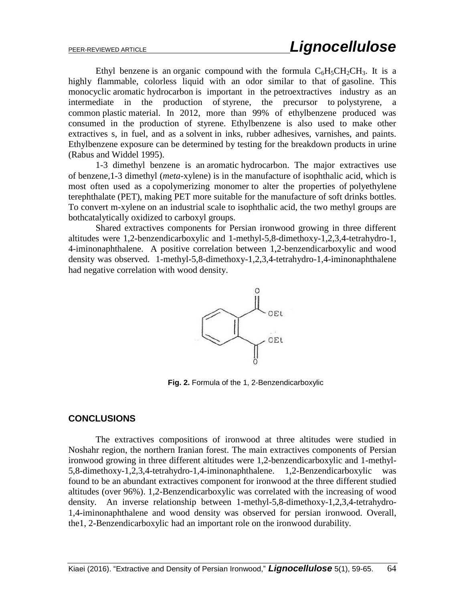Ethyl benzene is an [organic compound](https://en.wikipedia.org/wiki/Organic_compound) with the formula  $C_6H_5CH_2CH_3$ . It is a highly flammable, colorless liquid with an odor similar to that of [gasoline.](https://en.wikipedia.org/wiki/Gasoline) This monocyclic [aromatic](https://en.wikipedia.org/wiki/Aromatic) [hydrocarbon](https://en.wikipedia.org/wiki/Hydrocarbon) is important in the [petroextractives](https://en.wikipedia.org/wiki/Petrochemical) industry as an intermediate in the production of [styrene,](https://en.wikipedia.org/wiki/Styrene) the precursor to [polystyrene,](https://en.wikipedia.org/wiki/Polystyrene) a common [plastic](https://en.wikipedia.org/wiki/Plastic) material. In 2012, more than 99% of ethylbenzene produced was consumed in the production of styrene. Ethylbenzene is also used to make other extractives s, in fuel, and as a [solvent](https://en.wikipedia.org/wiki/Solvent) in inks, rubber adhesives, varnishes, and paints. Ethylbenzene exposure can be determined by testing for the breakdown products in [urine](https://en.wikipedia.org/wiki/Urine) (Rabus and Widdel 1995).

1-3 dimethyl benzene is an [aromatic](https://en.wikipedia.org/wiki/Aromatic) [hydrocarbon.](https://en.wikipedia.org/wiki/Hydrocarbon) The major extractives use of benzene,1-3 dimethyl (*meta*-xylene) is in the manufacture of [isophthalic acid,](https://en.wikipedia.org/wiki/Isophthalic_acid) which is most often used as a [copolymerizing](https://en.wikipedia.org/wiki/Copolymer) [monomer](https://en.wikipedia.org/wiki/Monomer) to alter the properties of [polyethylene](https://en.wikipedia.org/wiki/Polyethylene_terephthalate)  [terephthalate](https://en.wikipedia.org/wiki/Polyethylene_terephthalate) (PET), making PET more suitable for the manufacture of soft drinks bottles. To convert m-xylene on an industrial scale to isophthalic acid, the two methyl groups are bot[hcatalytically](https://en.wikipedia.org/wiki/Catalyst) [oxidized](https://en.wikipedia.org/wiki/Oxidation) to [carboxyl groups.](https://en.wikipedia.org/wiki/Carboxyl_group)

Shared extractives components for Persian ironwood growing in three different altitudes were 1,2-benzendicarboxylic and 1-methyl-5,8-dimethoxy-1,2,3,4-tetrahydro-1, 4-iminonaphthalene. A positive correlation between 1,2-benzendicarboxylic and wood density was observed. 1-methyl-5,8-dimethoxy-1,2,3,4-tetrahydro-1,4-iminonaphthalene had negative correlation with wood density.



**Fig. 2.** Formula of the 1, 2-Benzendicarboxylic

### **CONCLUSIONS**

The extractives compositions of ironwood at three altitudes were studied in Noshahr region, the northern Iranian forest. The main extractives components of Persian ironwood growing in three different altitudes were 1,2-benzendicarboxylic and 1-methyl-5,8-dimethoxy-1,2,3,4-tetrahydro-1,4-iminonaphthalene. 1,2-Benzendicarboxylic was found to be an abundant extractives component for ironwood at the three different studied altitudes (over 96%). 1,2-Benzendicarboxylic was correlated with the increasing of wood density. An inverse relationship between 1-methyl-5,8-dimethoxy-1,2,3,4-tetrahydro-1,4-iminonaphthalene and wood density was observed for persian ironwood. Overall, the1, 2-Benzendicarboxylic had an important role on the ironwood durability.